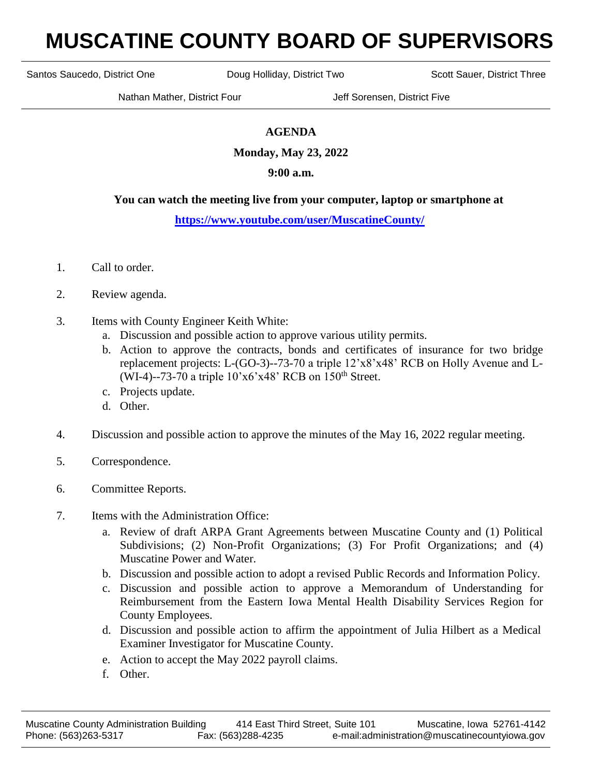# **MUSCATINE COUNTY BOARD OF SUPERVISORS**

Santos Saucedo, District One **Doug Holliday, District Two** Scott Sauer, District Three

Nathan Mather, District Four Jeff Sorensen, District Five

# **AGENDA**

**Monday, May 23, 2022**

## **9:00 a.m.**

### **You can watch the meeting live from your computer, laptop or smartphone at**

### **<https://www.youtube.com/user/MuscatineCounty/>**

- 1. Call to order.
- 2. Review agenda.
- 3. Items with County Engineer Keith White:
	- a. Discussion and possible action to approve various utility permits.
	- b. Action to approve the contracts, bonds and certificates of insurance for two bridge replacement projects: L-(GO-3)--73-70 a triple 12'x8'x48' RCB on Holly Avenue and L- (WI-4)--73-70 a triple  $10'x6'x48'$  RCB on  $150<sup>th</sup>$  Street.
	- c. Projects update.
	- d. Other.
- 4. Discussion and possible action to approve the minutes of the May 16, 2022 regular meeting.
- 5. Correspondence.
- 6. Committee Reports.
- 7. Items with the Administration Office:
	- a. Review of draft ARPA Grant Agreements between Muscatine County and (1) Political Subdivisions; (2) Non-Profit Organizations; (3) For Profit Organizations; and (4) Muscatine Power and Water.
	- b. Discussion and possible action to adopt a revised Public Records and Information Policy.
	- c. Discussion and possible action to approve a Memorandum of Understanding for Reimbursement from the Eastern Iowa Mental Health Disability Services Region for County Employees.
	- d. Discussion and possible action to affirm the appointment of Julia Hilbert as a Medical Examiner Investigator for Muscatine County.
	- e. Action to accept the May 2022 payroll claims.
	- f. Other.